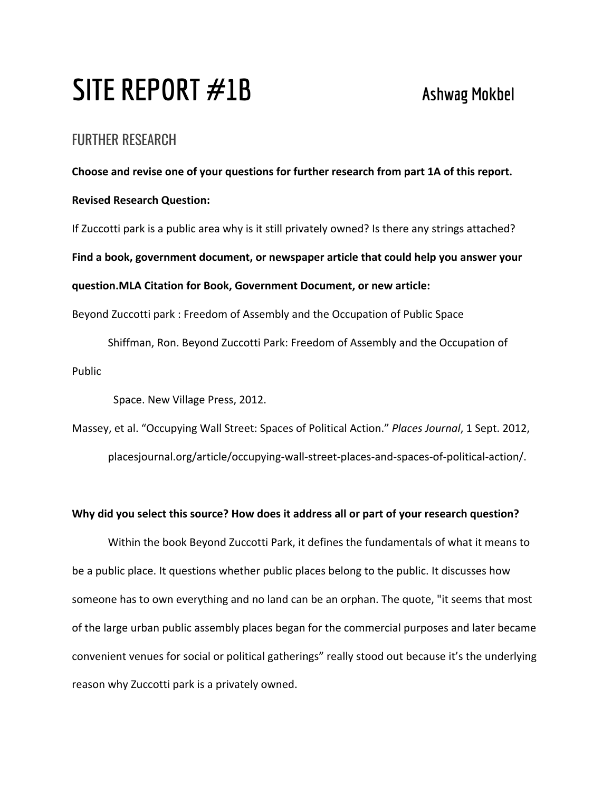# **SITE REPORT #1B Ashwag Mokbel**

## FURTHER RESEARCH

**Choose and revise one of your questions for further research from part 1A of this report. Revised Research Question:** If Zuccotti park is a public area why is it still privately owned? Is there any strings attached? **Find a book, government document, or newspaper article that could help you answer your question.MLA Citation for Book, Government Document, or new article:**

Beyond Zuccotti park : Freedom of Assembly and the Occupation of Public Space

Shiffman, Ron. Beyond Zuccotti Park: Freedom of Assembly and the Occupation of Public

Space. New Village Press, 2012.

Massey, et al. "Occupying Wall Street: Spaces of Political Action." *Places Journal*, 1 Sept. 2012, placesjournal.org/article/occupying-wall-street-places-and-spaces-of-political-action/.

### **Why did you select this source? How does it address all or part of your research question?**

Within the book Beyond Zuccotti Park, it defines the fundamentals of what it means to be a public place. It questions whether public places belong to the public. It discusses how someone has to own everything and no land can be an orphan. The quote, "it seems that most of the large urban public assembly places began for the commercial purposes and later became convenient venues for social or political gatherings" really stood out because it's the underlying reason why Zuccotti park is a privately owned.